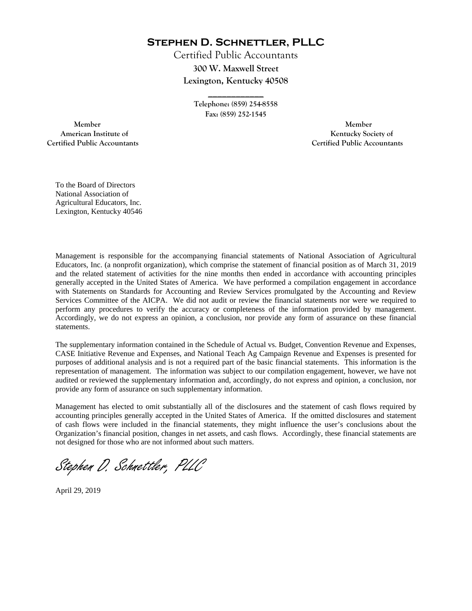**Stephen D. Schnettler, PLLC**

Certified Public Accountants **300 W. Maxwell Street Lexington, Kentucky 40508** 

> **Telephone: (859) 254-8558 Fax: (859) 252-1545**

**\_\_\_\_\_\_\_\_\_\_\_\_** 

 **Member Member Certified Public Accountants Certified Public Accountants** 

American Institute of **Kentucky Society of** 

To the Board of Directors National Association of Agricultural Educators, Inc. Lexington, Kentucky 40546

Management is responsible for the accompanying financial statements of National Association of Agricultural Educators, Inc. (a nonprofit organization), which comprise the statement of financial position as of March 31, 2019 and the related statement of activities for the nine months then ended in accordance with accounting principles generally accepted in the United States of America. We have performed a compilation engagement in accordance with Statements on Standards for Accounting and Review Services promulgated by the Accounting and Review Services Committee of the AICPA. We did not audit or review the financial statements nor were we required to perform any procedures to verify the accuracy or completeness of the information provided by management. Accordingly, we do not express an opinion, a conclusion, nor provide any form of assurance on these financial statements.

The supplementary information contained in the Schedule of Actual vs. Budget, Convention Revenue and Expenses, CASE Initiative Revenue and Expenses, and National Teach Ag Campaign Revenue and Expenses is presented for purposes of additional analysis and is not a required part of the basic financial statements. This information is the representation of management. The information was subject to our compilation engagement, however, we have not audited or reviewed the supplementary information and, accordingly, do not express and opinion, a conclusion, nor provide any form of assurance on such supplementary information.

Management has elected to omit substantially all of the disclosures and the statement of cash flows required by accounting principles generally accepted in the United States of America. If the omitted disclosures and statement of cash flows were included in the financial statements, they might influence the user's conclusions about the Organization's financial position, changes in net assets, and cash flows. Accordingly, these financial statements are not designed for those who are not informed about such matters.

Stephen D. Schnettler, PLLC

April 29, 2019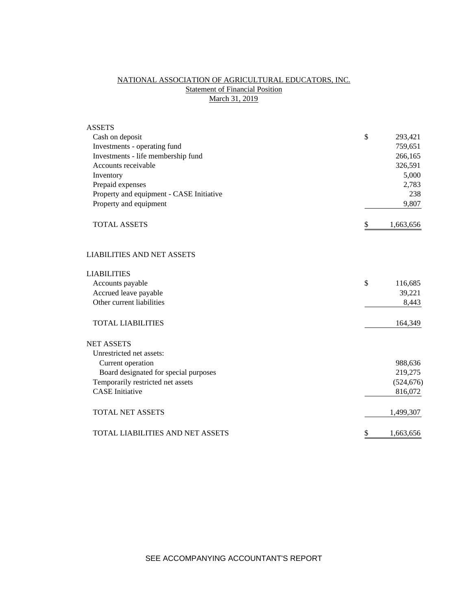# NATIONAL ASSOCIATION OF AGRICULTURAL EDUCATORS, INC. **Statement of Financial Position** March 31, 2019

| <b>ASSETS</b>                            |                 |
|------------------------------------------|-----------------|
| Cash on deposit                          | \$<br>293,421   |
| Investments - operating fund             | 759,651         |
| Investments - life membership fund       | 266,165         |
| Accounts receivable                      | 326,591         |
| Inventory                                | 5,000           |
| Prepaid expenses                         | 2,783           |
| Property and equipment - CASE Initiative | 238             |
| Property and equipment                   | 9,807           |
| <b>TOTAL ASSETS</b>                      | \$<br>1,663,656 |
| <b>LIABILITIES AND NET ASSETS</b>        |                 |
| <b>LIABILITIES</b>                       |                 |
| Accounts payable                         | \$<br>116,685   |
| Accrued leave payable                    | 39,221          |
| Other current liabilities                | 8,443           |
| <b>TOTAL LIABILITIES</b>                 | 164,349         |
| <b>NET ASSETS</b>                        |                 |
| Unrestricted net assets:                 |                 |
| Current operation                        | 988,636         |
| Board designated for special purposes    | 219,275         |
| Temporarily restricted net assets        | (524, 676)      |
| <b>CASE</b> Initiative                   | 816,072         |
| <b>TOTAL NET ASSETS</b>                  | 1,499,307       |
| <b>TOTAL LIABILITIES AND NET ASSETS</b>  | \$<br>1,663,656 |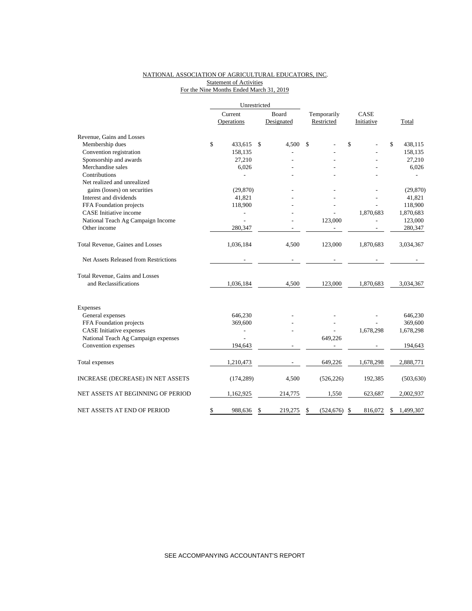### NATIONAL ASSOCIATION OF AGRICULTURAL EDUCATORS, INC. Statement of Activities For the Nine Months Ended March 31, 2019

|                                       |               | Unrestricted |            |                 |               |                |
|---------------------------------------|---------------|--------------|------------|-----------------|---------------|----------------|
|                                       | Current       |              | Board      | Temporarily     | CASE          |                |
|                                       | Operations    |              | Designated | Restricted      | Initiative    | Total          |
| Revenue, Gains and Losses             |               |              |            |                 |               |                |
| Membership dues                       | \$<br>433,615 | -S           | 4,500      | \$              | \$            | \$<br>438,115  |
| Convention registration               | 158,135       |              |            |                 |               | 158,135        |
| Sponsorship and awards                | 27,210        |              |            |                 |               | 27,210         |
| Merchandise sales                     | 6,026         |              |            |                 |               | 6,026          |
| Contributions                         |               |              |            |                 |               |                |
| Net realized and unrealized           |               |              |            |                 |               |                |
| gains (losses) on securities          | (29, 870)     |              |            |                 |               | (29, 870)      |
| Interest and dividends                | 41,821        |              |            |                 |               | 41,821         |
| FFA Foundation projects               | 118,900       |              |            |                 |               | 118,900        |
| <b>CASE</b> Initiative income         |               |              |            |                 | 1,870,683     | 1,870,683      |
| National Teach Ag Campaign Income     |               |              |            | 123,000         |               | 123,000        |
| Other income                          | 280,347       |              |            |                 |               | 280,347        |
| Total Revenue, Gaines and Losses      | 1,036,184     |              | 4,500      | 123,000         | 1,870,683     | 3,034,367      |
| Net Assets Released from Restrictions |               |              |            |                 |               |                |
| Total Revenue, Gains and Losses       |               |              |            |                 |               |                |
| and Reclassifications                 | 1,036,184     |              | 4,500      | 123,000         | 1,870,683     | 3,034,367      |
| Expenses                              |               |              |            |                 |               |                |
| General expenses                      | 646,230       |              |            |                 |               | 646,230        |
| FFA Foundation projects               | 369,600       |              |            |                 |               | 369,600        |
| <b>CASE</b> Initiative expenses       |               |              |            |                 | 1,678,298     | 1,678,298      |
| National Teach Ag Campaign expenses   |               |              |            | 649,226         |               |                |
| Convention expenses                   | 194,643       |              |            |                 |               | 194,643        |
| Total expenses                        | 1,210,473     |              |            | 649,226         | 1,678,298     | 2,888,771      |
| INCREASE (DECREASE) IN NET ASSETS     | (174, 289)    |              | 4,500      | (526, 226)      | 192,385       | (503, 630)     |
| NET ASSETS AT BEGINNING OF PERIOD     | 1,162,925     |              | 214,775    | 1,550           | 623,687       | 2,002,937      |
| NET ASSETS AT END OF PERIOD           | \$<br>988,636 | \$           | 219,275    | (524, 676)<br>S | 816,072<br>\$ | 1,499,307<br>S |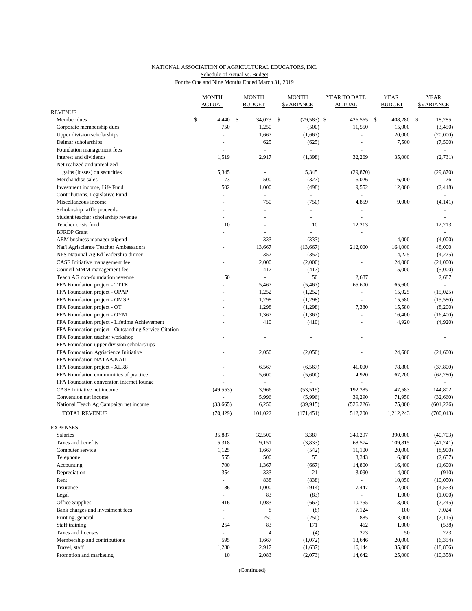## NATIONAL ASSOCIATION OF AGRICULTURAL EDUCATORS, INC. Schedule of Actual vs. Budget

| For the One and Nine Months Ended March 31, 2019 |  |  |  |
|--------------------------------------------------|--|--|--|
|                                                  |  |  |  |

|                                                       |    | <b>MONTH</b><br>ACTUAL |  | <b>MONTH</b><br><b>BUDGET</b> |    | <b>MONTH</b><br>\$VARIANCE | YEAR TO DATE<br>ACTUAL   |  | <b>YEAR</b><br><b>BUDGET</b> | <b>YEAR</b><br><b>\$VARIANCE</b> |            |
|-------------------------------------------------------|----|------------------------|--|-------------------------------|----|----------------------------|--------------------------|--|------------------------------|----------------------------------|------------|
| <b>REVENUE</b>                                        |    |                        |  |                               |    |                            |                          |  |                              |                                  |            |
| Member dues                                           | \$ | $4,440$ \$             |  | 34,023                        | \$ | $(29,583)$ \$              | 426,565 \$               |  | 408,280                      | \$                               | 18,285     |
| Corporate membership dues                             |    | 750                    |  | 1,250                         |    | (500)                      | 11,550                   |  | 15,000                       |                                  | (3,450)    |
| Upper division scholarships                           |    | ÷,                     |  | 1,667                         |    | (1,667)                    | $\sim$                   |  | 20,000                       |                                  | (20,000)   |
| Delmar scholarships                                   |    |                        |  | 625                           |    | (625)                      |                          |  | 7,500                        |                                  | (7,500)    |
| Foundation management fees                            |    | $\overline{a}$         |  | ÷,                            |    | ÷                          |                          |  |                              |                                  |            |
| Interest and dividends                                |    | 1,519                  |  | 2,917                         |    | (1, 398)                   | 32,269                   |  | 35,000                       |                                  | (2,731)    |
| Net realized and unrealized                           |    |                        |  |                               |    |                            |                          |  |                              |                                  |            |
| gains (losses) on securities                          |    | 5,345                  |  |                               |    | 5,345                      | (29, 870)                |  |                              |                                  | (29, 870)  |
| Merchandise sales                                     |    | 173                    |  | 500                           |    | (327)                      | 6,026                    |  | 6,000                        |                                  | 26         |
| Investment income, Life Fund                          |    | 502                    |  | 1,000                         |    | (498)                      | 9,552                    |  | 12,000                       |                                  | (2, 448)   |
| Contributions, Legislative Fund                       |    | ÷,                     |  | ÷.                            |    |                            |                          |  |                              |                                  |            |
| Miscellaneous income                                  |    | ÷,                     |  | 750                           |    | (750)                      | 4,859                    |  | 9,000                        |                                  | (4, 141)   |
| Scholarship raffle proceeds                           |    |                        |  | ÷,                            |    | $\bar{a}$                  |                          |  |                              |                                  |            |
| Student teacher scholarship revenue                   |    | ÷,                     |  |                               |    | $\sim$                     | ä,                       |  |                              |                                  | $\sim$     |
| Teacher crisis fund                                   |    | 10                     |  |                               |    | 10                         | 12,213                   |  |                              |                                  | 12,213     |
| <b>BFRDP</b> Grant                                    |    | L,                     |  | ÷,                            |    | $\overline{\phantom{0}}$   | $\sim$                   |  |                              |                                  | $\omega$   |
| AEM business manager stipend                          |    | $\blacksquare$         |  | 333                           |    | (333)                      |                          |  | 4,000                        |                                  | (4,000)    |
| Nat'l Agriscience Teacher Ambassadors                 |    | ÷                      |  | 13,667                        |    | (13,667)                   | 212,000                  |  | 164,000                      |                                  | 48,000     |
| NPS National Ag Ed leadership dinner                  |    |                        |  | 352                           |    | (352)                      |                          |  | 4,225                        |                                  | (4,225)    |
| CASE Initiative management fee                        |    | L,                     |  | 2,000                         |    | (2,000)                    |                          |  | 24,000                       |                                  | (24,000)   |
| Council MMM management fee                            |    |                        |  | 417                           |    | (417)                      |                          |  | 5,000                        |                                  | (5,000)    |
| Teach AG non-foundation revenue                       |    | 50                     |  | $\bar{\phantom{a}}$           |    | 50                         | 2,687                    |  |                              |                                  | 2,687      |
| FFA Foundation project - TTTK                         |    |                        |  | 5,467                         |    | (5, 467)                   | 65,600                   |  | 65,600                       |                                  |            |
| FFA Foundation project - OPAP                         |    |                        |  | 1,252                         |    | (1,252)                    | $\overline{\phantom{a}}$ |  | 15,025                       |                                  | (15,025)   |
| FFA Foundation project - OMSP                         |    |                        |  | 1,298                         |    | (1,298)                    |                          |  | 15,580                       |                                  | (15,580)   |
| FFA Foundation project - OT                           |    |                        |  | 1,298                         |    | (1,298)                    | 7,380                    |  | 15,580                       |                                  | (8,200)    |
| FFA Foundation project - OYM                          |    |                        |  | 1,367                         |    | (1, 367)                   |                          |  | 16,400                       |                                  | (16, 400)  |
| FFA Foundation project - Lifetime Achievement         |    |                        |  | 410                           |    | (410)                      | $\blacksquare$           |  | 4,920                        |                                  | (4,920)    |
| FFA Foundation project - Outstanding Service Citation |    |                        |  | L,                            |    | ÷,                         |                          |  |                              |                                  |            |
| FFA Foundation teacher workshop                       |    |                        |  | ٠                             |    | $\overline{a}$             |                          |  |                              |                                  |            |
| FFA Foundation upper division scholarships            |    |                        |  |                               |    |                            |                          |  |                              |                                  |            |
| FFA Foundation Agriscience Initiative                 |    |                        |  | 2,050                         |    | (2,050)                    | $\overline{\phantom{a}}$ |  | 24,600                       |                                  | (24, 600)  |
| FFA Foundation NATAA/NAII                             |    |                        |  |                               |    |                            |                          |  |                              |                                  |            |
| FFA Foundation project - XLR8                         |    |                        |  | 6,567                         |    | (6, 567)                   | 41,000                   |  | 78,800                       |                                  | (37,800)   |
| FFA Foundation communities of practice                |    | $\overline{a}$         |  | 5,600                         |    | (5,600)                    | 4,920                    |  | 67,200                       |                                  | (62, 280)  |
| FFA Foundation convention internet lounge             |    |                        |  |                               |    |                            |                          |  |                              |                                  | $\sim$     |
| CASE Initiative net income                            |    | (49, 553)              |  | 3,966                         |    | (53, 519)                  | 192,385                  |  | 47,583                       |                                  | 144,802    |
| Convention net income                                 |    |                        |  | 5,996                         |    | (5,996)                    | 39,290                   |  | 71,950                       |                                  | (32,660)   |
| National Teach Ag Campaign net income                 |    | (33, 665)              |  | 6,250                         |    | (39, 915)                  | (526, 226)               |  | 75,000                       |                                  | (601, 226) |
| TOTAL REVENUE                                         |    | (70, 429)              |  | 101,022                       |    | (171, 451)                 | 512,200                  |  | 1,212,243                    |                                  | (700, 043) |
| <b>EXPENSES</b>                                       |    |                        |  |                               |    |                            |                          |  |                              |                                  |            |
| Salaries                                              |    | 35,887                 |  | 32,500                        |    | 3,387                      | 349,297                  |  | 390,000                      |                                  | (40,703)   |
| Taxes and benefits                                    |    | 5,318                  |  | 9,151                         |    | (3,833)                    | 68,574                   |  | 109,815                      |                                  | (41,241)   |
| Computer service                                      |    | 1,125                  |  | 1,667                         |    | (542)                      | 11,100                   |  | 20,000                       |                                  | (8,900)    |
| Telephone                                             |    | 555                    |  | 500                           |    | 55                         | 3,343                    |  | 6,000                        |                                  | (2,657)    |
| Accounting                                            |    | 700                    |  | 1,367                         |    | (667)                      | 14,800                   |  | 16,400                       |                                  | (1,600)    |
| Depreciation                                          |    | 354                    |  | 333                           |    | 21                         | 3,090                    |  | 4,000                        |                                  | (910)      |
| Rent                                                  |    | $\omega_{\rm c}$       |  | 838                           |    | (838)                      | $\omega_{\rm c}$         |  | 10,050                       |                                  | (10,050)   |
| Insurance                                             |    | 86                     |  | 1,000                         |    | (914)                      | 7,447                    |  | 12,000                       |                                  | (4, 553)   |
| Legal                                                 |    | $\blacksquare$         |  | 83                            |    | (83)                       |                          |  | 1,000                        |                                  | (1,000)    |
| Office Supplies                                       |    | 416                    |  | 1,083                         |    | (667)                      | 10,755                   |  | 13,000                       |                                  | (2,245)    |
| Bank charges and investment fees                      |    | $\omega$               |  | 8                             |    | (8)                        | 7,124                    |  | 100                          |                                  | 7,024      |
| Printing, general                                     |    | $\blacksquare$         |  | 250                           |    | (250)                      | 885                      |  | 3,000                        |                                  | (2,115)    |
| Staff training                                        |    | 254                    |  | 83                            |    | 171                        | 462                      |  | 1,000                        |                                  | (538)      |
| Taxes and licenses                                    |    | $\Box$                 |  | $\overline{4}$                |    | (4)                        | 273                      |  | 50                           |                                  | 223        |
| Membership and contributions                          |    | 595                    |  | 1,667                         |    | (1,072)                    | 13,646                   |  | 20,000                       |                                  | (6, 354)   |
| Travel, staff                                         |    | 1,280                  |  | 2,917                         |    | (1,637)                    | 16,144                   |  | 35,000                       |                                  | (18, 856)  |
| Promotion and marketing                               |    | 10                     |  | 2,083                         |    | (2,073)                    | 14,642                   |  | 25,000                       |                                  | (10, 358)  |

(Continued)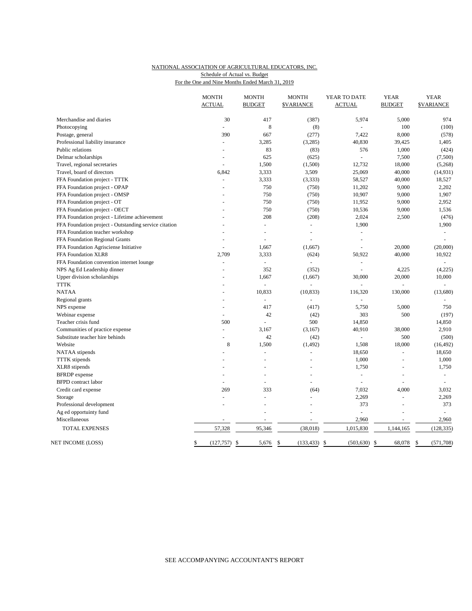#### NATIONAL ASSOCIATION OF AGRICULTURAL EDUCATORS, INC. For the One and Nine Months Ended March 31, 2019 Schedule of Actual vs. Budget

|                                                       | <b>MONTH</b><br><b>ACTUAL</b> | <b>MONTH</b><br><b>BUDGET</b> | <b>MONTH</b><br><b>\$VARIANCE</b> | YEAR TO DATE<br><b>ACTUAL</b> | <b>YEAR</b><br><b>BUDGET</b> | <b>YEAR</b><br><b>\$VARIANCE</b> |
|-------------------------------------------------------|-------------------------------|-------------------------------|-----------------------------------|-------------------------------|------------------------------|----------------------------------|
|                                                       |                               |                               |                                   |                               |                              |                                  |
| Merchandise and diaries                               | 30                            | 417                           | (387)                             | 5,974                         | 5,000                        | 974                              |
| Photocopying                                          |                               | 8                             | (8)                               |                               | 100                          | (100)                            |
| Postage, general                                      | 390                           | 667                           | (277)                             | 7,422                         | 8,000                        | (578)                            |
| Professional liability insurance                      | $\overline{a}$                | 3,285                         | (3,285)                           | 40,830                        | 39,425                       | 1,405                            |
| Public relations                                      |                               | 83                            | (83)                              | 576                           | 1,000                        | (424)                            |
| Delmar scholarships                                   | ÷,                            | 625                           | (625)                             |                               | 7,500                        | (7,500)                          |
| Travel, regional secretaries                          | $\overline{a}$                | 1,500                         | (1,500)                           | 12,732                        | 18,000                       | (5,268)                          |
| Travel, board of directors                            | 6,842                         | 3,333                         | 3,509                             | 25,069                        | 40,000                       | (14, 931)                        |
| FFA Foundation project - TTTK                         | ÷,                            | 3,333                         | (3, 333)                          | 58,527                        | 40,000                       | 18,527                           |
| FFA Foundation project - OPAP                         |                               | 750                           | (750)                             | 11,202                        | 9,000                        | 2,202                            |
| FFA Foundation project - OMSP                         |                               | 750                           | (750)                             | 10,907                        | 9,000                        | 1,907                            |
| FFA Foundation project - OT                           |                               | 750                           | (750)                             | 11,952                        | 9,000                        | 2,952                            |
| FFA Foundation project - OECT                         |                               | 750                           | (750)                             | 10,536                        | 9,000                        | 1,536                            |
| FFA Foundation project - Lifetime achievement         |                               | 208                           | (208)                             | 2,024                         | 2,500                        | (476)                            |
| FFA Foundation project - Outstanding service citation |                               | $\overline{\phantom{a}}$      | ä,                                | 1,900                         |                              | 1,900                            |
| FFA Foundation teacher workshop                       |                               | $\blacksquare$                | $\sim$                            | ÷,                            |                              | $\overline{\phantom{a}}$         |
| FFA Foundation Regional Grants                        |                               | $\overline{a}$                |                                   | $\overline{a}$                |                              | ÷                                |
| FFA Foundation Agrisciense Initiative                 |                               | 1,667                         | (1,667)                           | L,                            | 20,000                       | (20,000)                         |
| FFA Foundation XLR8                                   | 2,709                         | 3,333                         | (624)                             | 50,922                        | 40,000                       | 10,922                           |
| FFA Foundation convention internet lounge             | $\overline{a}$                | $\overline{a}$                | $\overline{a}$                    | ÷                             |                              |                                  |
| NPS Ag Ed Leadership dinner                           |                               | 352                           | (352)                             | $\bar{\phantom{a}}$           | 4,225                        | (4,225)                          |
| Upper division scholarships                           |                               | 1,667                         | (1,667)                           | 30,000                        | 20,000                       | 10,000                           |
| <b>TTTK</b>                                           |                               | L.                            |                                   | $\overline{a}$                |                              | $\overline{a}$                   |
| <b>NATAA</b>                                          |                               | 10,833                        | (10, 833)                         | 116,320                       | 130,000                      | (13,680)                         |
| Regional grants                                       |                               |                               |                                   |                               |                              |                                  |
| NPS expense                                           |                               | 417                           | (417)                             | 5,750                         | 5,000                        | 750                              |
| Webinar expense                                       | $\overline{a}$                | 42                            | (42)                              | 303                           | 500                          | (197)                            |
| Teacher crisis fund                                   | 500                           | L,                            | 500                               | 14,850                        |                              | 14,850                           |
| Communities of practice expense                       | L.                            | 3,167                         | (3,167)                           | 40,910                        | 38,000                       | 2,910                            |
| Substitute teacher hire behinds                       | ÷                             | 42                            | (42)                              |                               | 500                          | (500)                            |
| Website                                               | 8                             | 1,500                         | (1, 492)                          | 1,508                         | 18,000                       | (16, 492)                        |
| NATAA stipends                                        | L.                            |                               |                                   | 18,650                        | $\overline{a}$               | 18,650                           |
| <b>TTTK</b> stipends                                  |                               |                               |                                   | 1,000                         | ÷,                           | 1,000                            |
| XLR8 stipends                                         |                               |                               |                                   | 1,750                         |                              | 1,750                            |
| <b>BFRDP</b> expense                                  |                               |                               |                                   | $\overline{\phantom{a}}$      | $\bar{a}$                    | $\blacksquare$                   |
| <b>BFPD</b> contract labor                            |                               |                               |                                   | $\overline{a}$                |                              | $\overline{a}$                   |
| Credit card expense                                   | 269                           | 333                           | (64)                              | 7,032                         | 4,000                        | 3,032                            |
| Storage                                               | ä,                            |                               |                                   | 2,269                         |                              | 2,269                            |
| Professional development                              | L,                            |                               |                                   | 373                           | ÷,                           | 373                              |
| Ag ed opportuinty fund                                |                               |                               |                                   |                               |                              |                                  |
| Miscellaneous                                         |                               |                               |                                   | 2,960                         | L,                           | 2,960                            |
| TOTAL EXPENSES                                        | 57,328                        | 95,346                        | (38, 018)                         | 1,015,830                     | 1,144,165                    | (128, 335)                       |
| NET INCOME (LOSS)                                     | (127, 757)<br>\$              | \$<br>5,676                   | \$<br>(133, 433)                  | - \$<br>(503, 630)            | <sup>\$</sup><br>68,078      | \$<br>(571, 708)                 |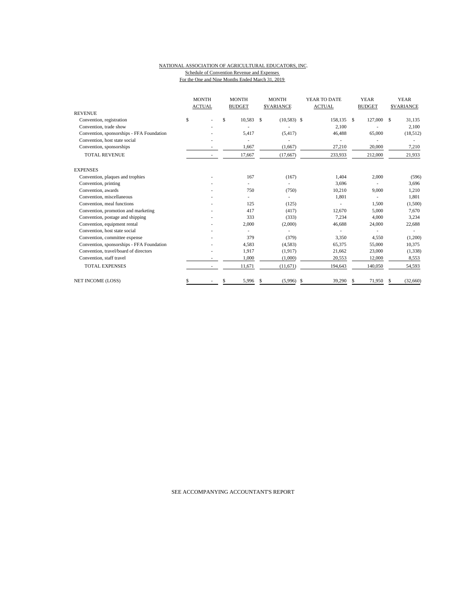#### NATIONAL ASSOCIATION OF AGRICULTURAL EDUCATORS, INC. Schedule of Convention Revenue and Expenses For the One and Nine Months Ended March 31, 2019

| <b>REVENUE</b>                            | <b>MONTH</b><br><b>ACTUAL</b> | <b>MONTH</b><br><b>BUDGET</b> |               | <b>MONTH</b><br><b>SVARIANCE</b> | YEAR TO DATE<br><b>ACTUAL</b> |    | <b>YEAR</b><br><b>BUDGET</b> |    | <b>YEAR</b><br><b>SVARIANCE</b> |
|-------------------------------------------|-------------------------------|-------------------------------|---------------|----------------------------------|-------------------------------|----|------------------------------|----|---------------------------------|
| Convention, registration                  | \$                            | \$<br>10,583                  | <sup>\$</sup> | $(10,583)$ \$                    | 158,135 \$                    |    | 127,000                      | \$ | 31,135                          |
| Convention, trade show                    |                               |                               |               |                                  |                               |    |                              |    |                                 |
|                                           |                               | 5.417                         |               |                                  | 2,100                         |    |                              |    | 2,100                           |
| Convention, sponsorships - FFA Foundation |                               |                               |               | (5, 417)                         | 46,488                        |    | 65,000                       |    | (18, 512)                       |
| Convention, host state social             |                               |                               |               |                                  |                               |    |                              |    |                                 |
| Convention, sponsorships                  |                               | 1,667                         |               | (1,667)                          | 27,210                        |    | 20,000                       |    | 7,210                           |
| <b>TOTAL REVENUE</b>                      |                               | 17,667                        |               | (17, 667)                        | 233,933                       |    | 212,000                      |    | 21,933                          |
| <b>EXPENSES</b>                           |                               |                               |               |                                  |                               |    |                              |    |                                 |
| Convention, plaques and trophies          |                               | 167                           |               | (167)                            | 1,404                         |    | 2,000                        |    | (596)                           |
| Convention, printing                      |                               |                               |               | ٠                                | 3,696                         |    |                              |    | 3,696                           |
| Convention, awards                        |                               | 750                           |               | (750)                            | 10,210                        |    | 9,000                        |    | 1,210                           |
| Convention, miscellaneous                 |                               |                               |               | $\overline{\phantom{a}}$         | 1,801                         |    | ×.                           |    | 1,801                           |
| Convention, meal functions                |                               | 125                           |               | (125)                            |                               |    | 1,500                        |    | (1,500)                         |
| Convention, promotion and marketing       |                               | 417                           |               | (417)                            | 12,670                        |    | 5,000                        |    | 7,670                           |
| Convention, postage and shipping          |                               | 333                           |               | (333)                            | 7.234                         |    | 4.000                        |    | 3,234                           |
| Convention, equipment rental              |                               | 2,000                         |               | (2,000)                          | 46,688                        |    | 24,000                       |    | 22,688                          |
| Convention, host state social             |                               |                               |               |                                  |                               |    |                              |    |                                 |
| Convention, committee expense             |                               | 379                           |               | (379)                            | 3,350                         |    | 4,550                        |    | (1,200)                         |
| Convention, sponsorships - FFA Foundation |                               | 4,583                         |               | (4,583)                          | 65,375                        |    | 55,000                       |    | 10,375                          |
| Convention, travel/board of directors     |                               | 1,917                         |               | (1,917)                          | 21,662                        |    | 23,000                       |    | (1,338)                         |
| Convention, staff travel                  |                               | 1,000                         |               | (1,000)                          | 20,553                        |    | 12,000                       |    | 8,553                           |
| <b>TOTAL EXPENSES</b>                     |                               | 11,671                        |               | (11,671)                         | 194,643                       |    | 140,050                      |    | 54,593                          |
| <b>NET INCOME (LOSS)</b>                  | \$                            | \$<br>5,996                   | -S            | (5,996)                          | \$<br>39.290                  | -S | 71,950                       | S. | (32,660)                        |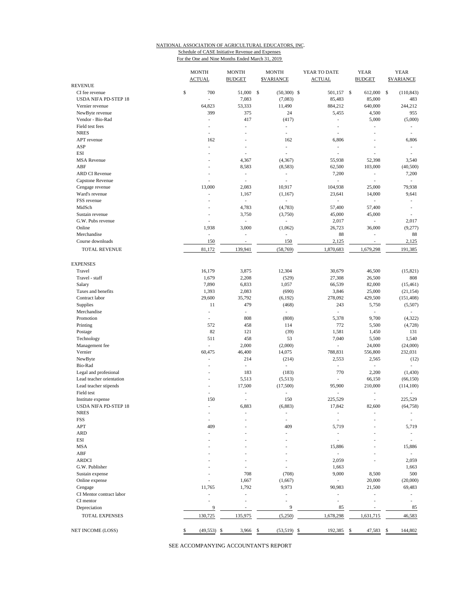### NATIONAL ASSOCIATION OF AGRICULTURAL EDUCATORS, INC. Schedule of CASE Initiative Revenue and Expenses

For the One and Nine Months Ended March 31, 2019

|                                     | <b>MONTH</b><br><b>ACTUAL</b> | <b>MONTH</b><br><b>MONTH</b><br>YEAR TO DATE<br><b>\$VARIANCE</b><br><b>ACTUAL</b><br><b>BUDGET</b> |                          |                                    | <b>YEAR</b><br><b>BUDGET</b>        | <b>YEAR</b><br><b>SVARIANCE</b>   |
|-------------------------------------|-------------------------------|-----------------------------------------------------------------------------------------------------|--------------------------|------------------------------------|-------------------------------------|-----------------------------------|
| <b>REVENUE</b>                      |                               |                                                                                                     |                          |                                    |                                     |                                   |
| CI fee revenue                      | \$<br>700                     | 51,000 \$                                                                                           | $(50,300)$ \$            | 501,157 \$                         | 612,000 \$                          | (110, 843)                        |
| <b>USDA NIFA PD-STEP 18</b>         |                               | 7,083                                                                                               | (7,083)                  | 85,483                             | 85,000                              | 483                               |
| Vernier revenue                     | 64,823                        | 53,333                                                                                              | 11,490                   | 884,212                            | 640,000                             | 244,212                           |
| NewByte revenue                     | 399                           | 375                                                                                                 | 24                       | 5,455                              | 4,500                               | 955                               |
| Vendor - Bio-Rad                    | ٠                             | 417                                                                                                 | (417)                    | ÷,                                 | 5,000                               | (5,000)                           |
| Field test fees                     | ٠                             | ÷,                                                                                                  | ÷,                       | ä,                                 | ä,                                  | ÷.                                |
| <b>NRES</b><br>APT revenue          | 162                           | J.                                                                                                  | ÷,<br>162                | $\overline{a}$<br>6,806            |                                     | ÷,                                |
| ASP                                 |                               |                                                                                                     |                          |                                    |                                     | 6,806                             |
| <b>ESI</b>                          |                               | $\overline{\phantom{a}}$                                                                            | $\overline{\phantom{a}}$ | L,                                 |                                     |                                   |
| <b>MSA</b> Revenue                  | ÷,<br>٠                       |                                                                                                     | $\overline{a}$           | L,                                 | L,                                  | ٠                                 |
| ABF                                 |                               | 4,367                                                                                               | (4, 367)                 | 55,938                             | 52,398                              | 3,540                             |
| <b>ARD CI Revenue</b>               | ÷,<br>÷,                      | 8,583<br>$\overline{a}$                                                                             | (8,583)                  | 62,500<br>7,200                    | 103,000<br>$\overline{\phantom{a}}$ | (40, 500)                         |
|                                     |                               | i,                                                                                                  | $\overline{\phantom{a}}$ | L,                                 | $\frac{1}{2}$                       | 7,200<br>$\overline{\phantom{a}}$ |
| Capstone Revenue                    | 13,000                        |                                                                                                     | 10,917                   |                                    | 25,000                              |                                   |
| Cengage revenue                     | ÷,                            | 2,083                                                                                               |                          | 104,938                            |                                     | 79,938                            |
| Ward's revenue                      |                               | 1,167                                                                                               | (1,167)                  | 23,641<br>$\overline{\phantom{a}}$ | 14,000                              | 9,641                             |
| FSS revenue<br>MidSch               | ÷,<br>÷,                      | $\overline{\phantom{a}}$<br>4,783                                                                   | ÷,                       | 57,400                             | $\overline{\phantom{a}}$<br>57,400  | $\overline{\phantom{a}}$<br>٠     |
| Sustain revenue                     |                               | 3,750                                                                                               | (4,783)                  | 45,000                             | 45,000                              |                                   |
| G.W. Pubs revenue                   |                               | $\mathcal{L}_{\mathcal{A}}$                                                                         | (3,750)<br>L,            |                                    | $\frac{1}{2}$                       |                                   |
| Online                              | 1,938                         |                                                                                                     |                          | 2,017                              |                                     | 2,017                             |
| Merchandise                         |                               | 3,000<br>٠                                                                                          | (1,062)                  | 26,723                             | 36,000<br>ä,                        | (9,277)                           |
| Course downloads                    | $\overline{\phantom{a}}$      |                                                                                                     | $\overline{a}$           | 88                                 |                                     | 88                                |
|                                     | 150                           | $\overline{\phantom{a}}$                                                                            | 150                      | 2,125                              | $\overline{\phantom{a}}$            | 2,125                             |
| TOTAL REVENUE                       | 81,172                        | 139,941                                                                                             | (58, 769)                | 1,870,683                          | 1,679,298                           | 191,385                           |
| <b>EXPENSES</b>                     |                               |                                                                                                     |                          |                                    |                                     |                                   |
| Travel                              | 16,179                        | 3,875                                                                                               | 12,304                   | 30,679                             | 46,500                              | (15, 821)                         |
| Travel - staff                      | 1,679                         | 2,208                                                                                               | (529)                    | 27,308                             | 26,500                              | 808                               |
| Salary                              | 7,890                         | 6,833                                                                                               | 1,057                    | 66,539                             | 82,000                              | (15, 461)                         |
| Taxes and benefits                  | 1,393                         | 2,083                                                                                               | (690)                    | 3,846                              | 25,000                              | (21, 154)                         |
| Contract labor                      | 29,600                        | 35,792                                                                                              | (6, 192)                 | 278,092                            | 429,500                             | (151, 408)                        |
| Supplies                            | 11                            | 479                                                                                                 | (468)                    | 243                                | 5,750                               | (5,507)                           |
| Merchandise                         | ä,                            | $\overline{\phantom{a}}$                                                                            | $\sim$                   | $\overline{a}$                     | $\sim$                              | ÷                                 |
| Promotion                           | ÷,                            | 808                                                                                                 | (808)                    | 5,378                              | 9,700                               | (4, 322)                          |
| Printing                            | 572                           | 458                                                                                                 | 114                      | 772                                | 5,500                               | (4, 728)                          |
| Postage                             | 82                            | 121                                                                                                 | (39)                     | 1,581                              | 1,450                               | 131                               |
| Technology                          | 511                           | 458                                                                                                 | 53                       | 7,040                              | 5,500                               | 1,540                             |
| Management fee                      | ÷.                            | 2,000                                                                                               | (2,000)                  | ä,                                 | 24,000                              | (24,000)                          |
| Vernier                             | 60,475                        | 46,400                                                                                              | 14,075                   | 788,831                            | 556,800                             | 232,031                           |
| NewByte                             | ÷,                            | 214                                                                                                 | (214)                    | 2,553                              | 2,565                               | (12)                              |
| Bio-Rad                             | $\overline{a}$                | $\frac{1}{2}$                                                                                       | $\overline{\phantom{a}}$ | ÷,                                 | $\overline{\phantom{a}}$            | $\overline{\phantom{a}}$          |
| Legal and profesional               |                               | 183                                                                                                 | (183)                    | 770                                | 2,200                               | (1, 430)                          |
| Lead teacher orientation            | ä,                            | 5,513                                                                                               | (5,513)                  | L,                                 | 66,150                              | (66, 150)                         |
| Lead teacher stipends               | ä,                            | 17,500                                                                                              | (17,500)                 | 95,900                             | 210,000                             | (114, 100)                        |
| Field test                          | ÷,                            | ٠                                                                                                   | $\overline{a}$           | ä,                                 | $\overline{\phantom{a}}$            | ÷.                                |
| Institute expense                   | 150                           | J.                                                                                                  | 150                      | 225,529                            | L,                                  | 225,529                           |
| <b>USDA NIFA PD-STEP 18</b>         | ä,                            | 6,883                                                                                               | (6,883)                  | 17,842                             | 82,600                              | (64, 758)                         |
| <b>NRES</b>                         |                               |                                                                                                     |                          |                                    |                                     |                                   |
| FSS                                 |                               |                                                                                                     |                          | ÷,                                 |                                     |                                   |
| APT                                 | 409                           |                                                                                                     | 409                      | 5,719                              |                                     | 5,719                             |
| <b>ARD</b>                          |                               |                                                                                                     |                          | ٠                                  |                                     | $\overline{\phantom{a}}$          |
| ESI                                 |                               |                                                                                                     |                          | ä,                                 |                                     | $\overline{\phantom{a}}$          |
| <b>MSA</b>                          |                               |                                                                                                     |                          | 15,886                             |                                     | 15,886                            |
| ABF                                 |                               |                                                                                                     |                          | L,                                 |                                     | $\overline{\phantom{a}}$          |
| <b>ARDCI</b>                        |                               |                                                                                                     |                          | 2,059                              |                                     | 2,059                             |
| G.W. Publisher                      |                               |                                                                                                     |                          | 1,663                              |                                     | 1,663                             |
| Sustain expense                     |                               | 708                                                                                                 | (708)                    | 9,000                              | 8,500                               | 500                               |
| Online expense                      |                               | 1,667                                                                                               | (1,667)                  | $\overline{a}$                     | 20,000                              | (20,000)                          |
|                                     | 11,765                        | 1,792                                                                                               | 9,973                    | 90,983                             | 21,500                              | 69,483                            |
| Cengage<br>CI Mentor contract labor |                               | J.                                                                                                  |                          |                                    |                                     |                                   |
| CI mentor                           |                               |                                                                                                     |                          |                                    |                                     | $\overline{a}$                    |
|                                     | 9                             | ÷.                                                                                                  | 9                        | 85                                 | ä,                                  |                                   |
| Depreciation                        |                               |                                                                                                     |                          |                                    |                                     | 85                                |
| TOTAL EXPENSES                      | 130,725                       | 135,975                                                                                             | (5,250)                  | 1,678,298                          | 1,631,715                           | 46,583                            |
| NET INCOME (LOSS)                   | \$<br>(49, 553)               | 3,966<br>\$                                                                                         | \$<br>(53, 519)          | 192,385<br>\$                      | 47,583<br>\$                        | 144,802<br>\$                     |